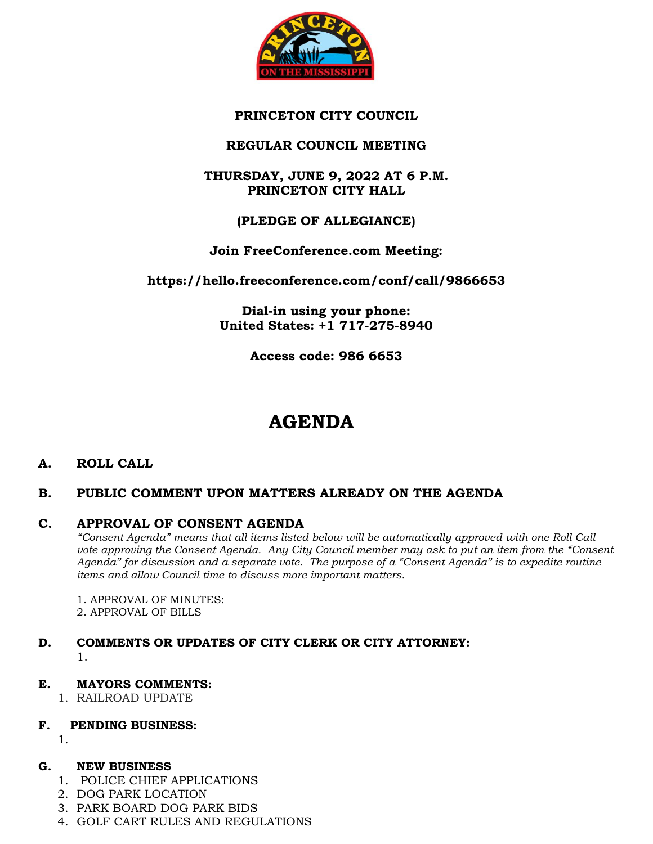

# **PRINCETON CITY COUNCIL**

# **REGULAR COUNCIL MEETING**

# **THURSDAY, JUNE 9, 2022 AT 6 P.M. PRINCETON CITY HALL**

# **(PLEDGE OF ALLEGIANCE)**

# **Join FreeConference.com Meeting:**

**https://hello.freeconference.com/conf/call/9866653**

**Dial-in using your phone: United States: +1 717-275-8940** 

**Access code: 986 6653**

# **AGENDA**

## **A. ROLL CALL**

## **B. PUBLIC COMMENT UPON MATTERS ALREADY ON THE AGENDA**

## **C. APPROVAL OF CONSENT AGENDA**

*"Consent Agenda" means that all items listed below will be automatically approved with one Roll Call vote approving the Consent Agenda. Any City Council member may ask to put an item from the "Consent Agenda" for discussion and a separate vote. The purpose of a "Consent Agenda" is to expedite routine items and allow Council time to discuss more important matters.*

1. APPROVAL OF MINUTES:

2. APPROVAL OF BILLS

## **D. COMMENTS OR UPDATES OF CITY CLERK OR CITY ATTORNEY:** 1.

## **E. MAYORS COMMENTS:**

1. RAILROAD UPDATE

## **F. PENDING BUSINESS:**

1.

#### **G. NEW BUSINESS**

- 1. POLICE CHIEF APPLICATIONS
- 2. DOG PARK LOCATION
- 3. PARK BOARD DOG PARK BIDS
- 4. GOLF CART RULES AND REGULATIONS